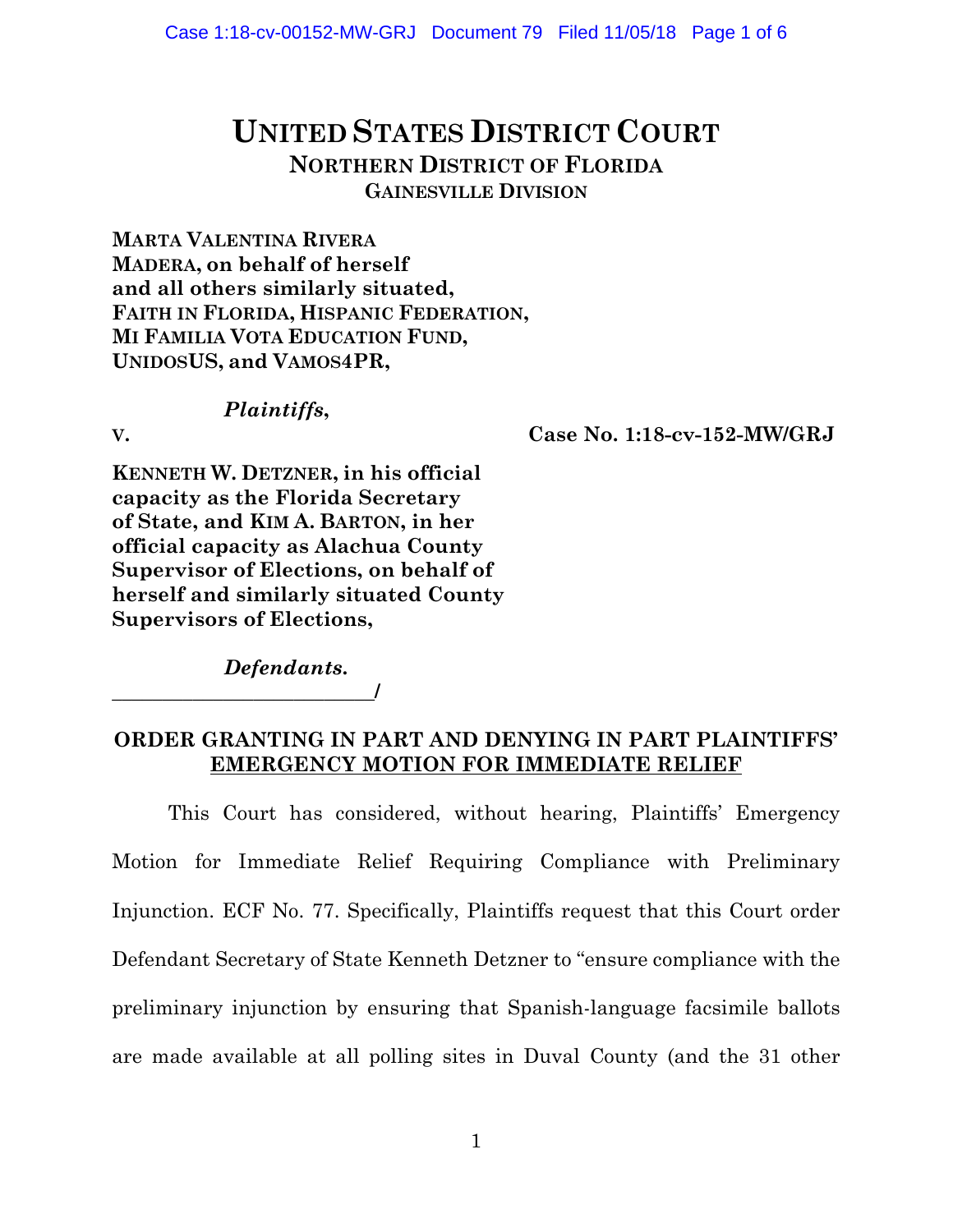# **UNITED STATES DISTRICT COURT NORTHERN DISTRICT OF FLORIDA GAINESVILLE DIVISION**

**MARTA VALENTINA RIVERA MADERA, on behalf of herself and all others similarly situated, FAITH IN FLORIDA, HISPANIC FEDERATION, MI FAMILIA VOTA EDUCATION FUND, UNIDOSUS, and VAMOS4PR,**

### *Plaintiffs***,**

**V. Case No. 1:18-cv-152-MW/GRJ**

**KENNETH W. DETZNER, in his official capacity as the Florida Secretary of State, and KIM A. BARTON, in her official capacity as Alachua County Supervisor of Elections, on behalf of herself and similarly situated County Supervisors of Elections,**

*Defendants***.**

**\_\_\_\_\_\_\_\_\_\_\_\_\_\_\_\_\_\_\_\_\_\_\_\_\_\_/**

### **ORDER GRANTING IN PART AND DENYING IN PART PLAINTIFFS' EMERGENCY MOTION FOR IMMEDIATE RELIEF**

This Court has considered, without hearing, Plaintiffs' Emergency Motion for Immediate Relief Requiring Compliance with Preliminary Injunction. ECF No. 77. Specifically, Plaintiffs request that this Court order Defendant Secretary of State Kenneth Detzner to "ensure compliance with the preliminary injunction by ensuring that Spanish-language facsimile ballots are made available at all polling sites in Duval County (and the 31 other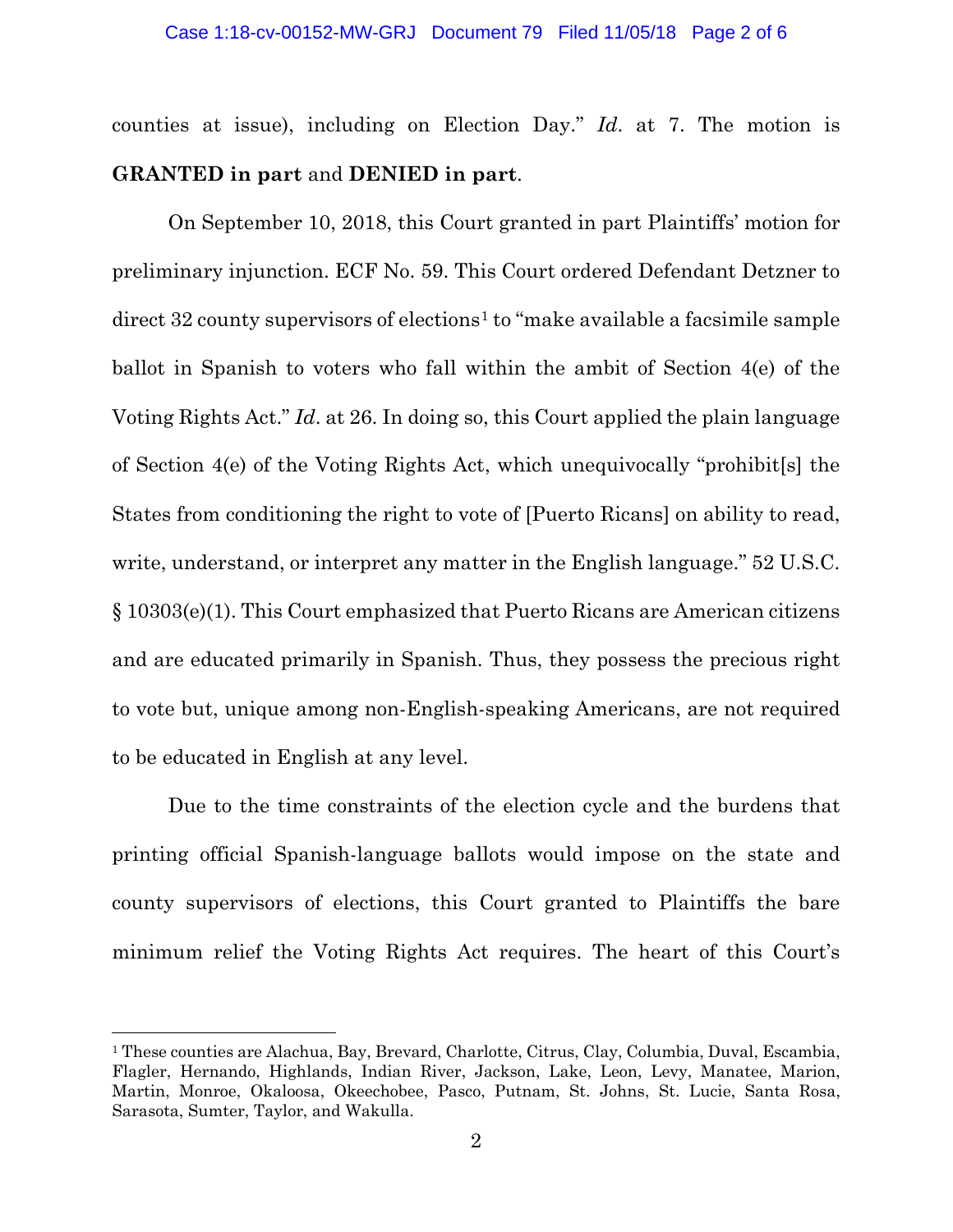#### Case 1:18-cv-00152-MW-GRJ Document 79 Filed 11/05/18 Page 2 of 6

counties at issue), including on Election Day." *Id*. at 7. The motion is **GRANTED in part** and **DENIED in part**.

On September 10, 2018, this Court granted in part Plaintiffs' motion for preliminary injunction. ECF No. 59. This Court ordered Defendant Detzner to  $\text{direct } 32 \text{ country } \text{supervisors of } \text{electrons}^1 \text{ to } \text{``make } \text{available } a \text{ facsimile } \text{sample}$  $\text{direct } 32 \text{ country } \text{supervisors of } \text{electrons}^1 \text{ to } \text{``make } \text{available } a \text{ facsimile } \text{sample}$  $\text{direct } 32 \text{ country } \text{supervisors of } \text{electrons}^1 \text{ to } \text{``make } \text{available } a \text{ facsimile } \text{sample}$ ballot in Spanish to voters who fall within the ambit of Section 4(e) of the Voting Rights Act." *Id*. at 26. In doing so, this Court applied the plain language of Section 4(e) of the Voting Rights Act, which unequivocally "prohibit[s] the States from conditioning the right to vote of [Puerto Ricans] on ability to read, write, understand, or interpret any matter in the English language." 52 U.S.C. § 10303(e)(1). This Court emphasized that Puerto Ricans are American citizens and are educated primarily in Spanish. Thus, they possess the precious right to vote but, unique among non-English-speaking Americans, are not required to be educated in English at any level.

Due to the time constraints of the election cycle and the burdens that printing official Spanish-language ballots would impose on the state and county supervisors of elections, this Court granted to Plaintiffs the bare minimum relief the Voting Rights Act requires. The heart of this Court's

l

<span id="page-1-0"></span><sup>&</sup>lt;sup>1</sup> These counties are Alachua, Bay, Brevard, Charlotte, Citrus, Clay, Columbia, Duval, Escambia, Flagler, Hernando, Highlands, Indian River, Jackson, Lake, Leon, Levy, Manatee, Marion, Martin, Monroe, Okaloosa, Okeechobee, Pasco, Putnam, St. Johns, St. Lucie, Santa Rosa, Sarasota, Sumter, Taylor, and Wakulla.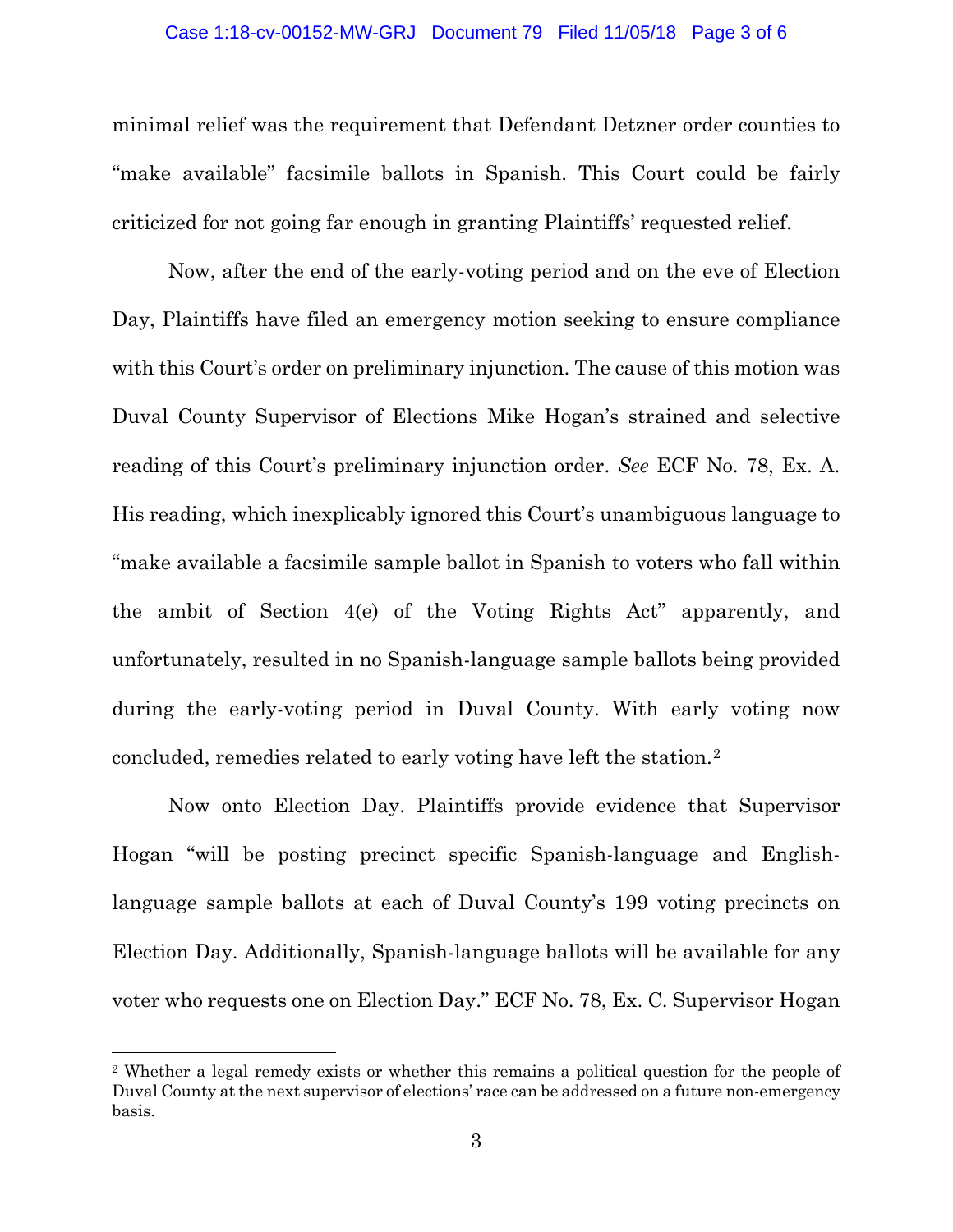#### Case 1:18-cv-00152-MW-GRJ Document 79 Filed 11/05/18 Page 3 of 6

minimal relief was the requirement that Defendant Detzner order counties to "make available" facsimile ballots in Spanish. This Court could be fairly criticized for not going far enough in granting Plaintiffs' requested relief.

Now, after the end of the early-voting period and on the eve of Election Day, Plaintiffs have filed an emergency motion seeking to ensure compliance with this Court's order on preliminary injunction. The cause of this motion was Duval County Supervisor of Elections Mike Hogan's strained and selective reading of this Court's preliminary injunction order. *See* ECF No. 78, Ex. A. His reading, which inexplicably ignored this Court's unambiguous language to "make available a facsimile sample ballot in Spanish to voters who fall within the ambit of Section 4(e) of the Voting Rights Act" apparently, and unfortunately, resulted in no Spanish-language sample ballots being provided during the early-voting period in Duval County. With early voting now concluded, remedies related to early voting have left the station.[2](#page-2-0)

Now onto Election Day. Plaintiffs provide evidence that Supervisor Hogan "will be posting precinct specific Spanish-language and Englishlanguage sample ballots at each of Duval County's 199 voting precincts on Election Day. Additionally, Spanish-language ballots will be available for any voter who requests one on Election Day." ECF No. 78, Ex. C. Supervisor Hogan

 $\overline{\phantom{a}}$ 

<span id="page-2-0"></span><sup>2</sup> Whether a legal remedy exists or whether this remains a political question for the people of Duval County at the next supervisor of elections' race can be addressed on a future non-emergency basis.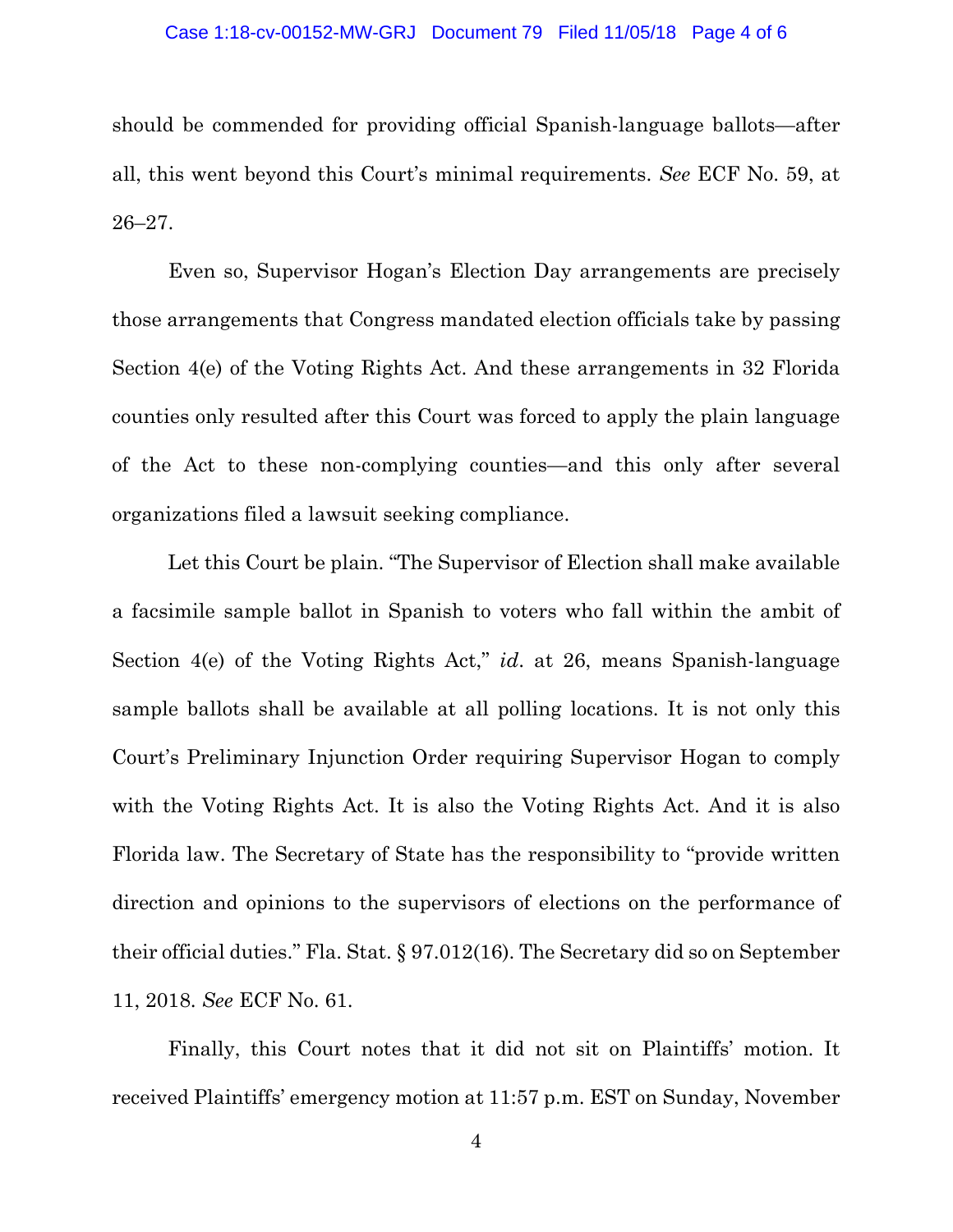#### Case 1:18-cv-00152-MW-GRJ Document 79 Filed 11/05/18 Page 4 of 6

should be commended for providing official Spanish-language ballots—after all, this went beyond this Court's minimal requirements. *See* ECF No. 59, at 26–27.

Even so, Supervisor Hogan's Election Day arrangements are precisely those arrangements that Congress mandated election officials take by passing Section 4(e) of the Voting Rights Act. And these arrangements in 32 Florida counties only resulted after this Court was forced to apply the plain language of the Act to these non-complying counties—and this only after several organizations filed a lawsuit seeking compliance.

Let this Court be plain. "The Supervisor of Election shall make available a facsimile sample ballot in Spanish to voters who fall within the ambit of Section 4(e) of the Voting Rights Act," *id*. at 26, means Spanish-language sample ballots shall be available at all polling locations. It is not only this Court's Preliminary Injunction Order requiring Supervisor Hogan to comply with the Voting Rights Act. It is also the Voting Rights Act. And it is also Florida law. The Secretary of State has the responsibility to "provide written direction and opinions to the supervisors of elections on the performance of their official duties." Fla. Stat. § 97.012(16). The Secretary did so on September 11, 2018. *See* ECF No. 61.

Finally, this Court notes that it did not sit on Plaintiffs' motion. It received Plaintiffs' emergency motion at 11:57 p.m. EST on Sunday, November

4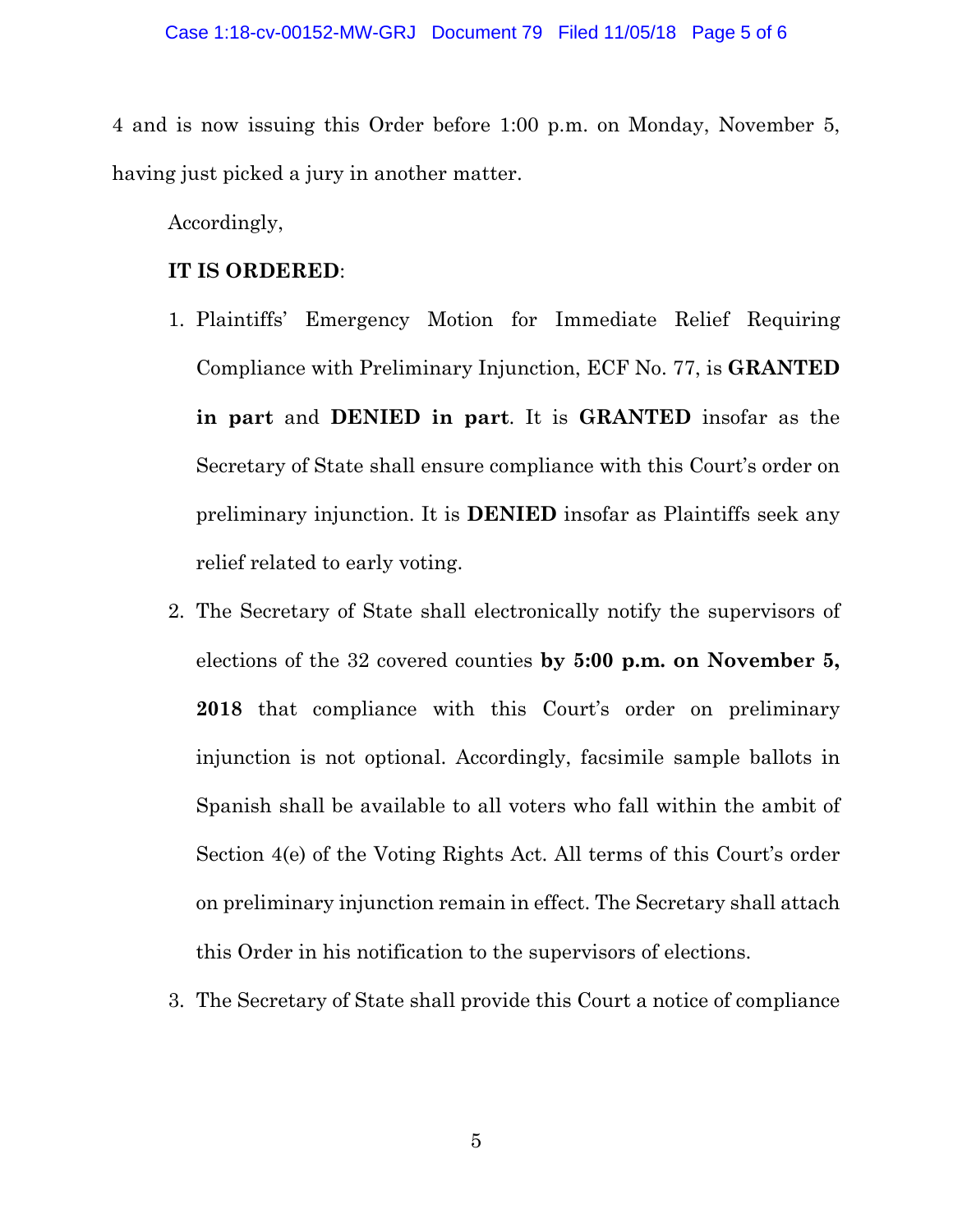4 and is now issuing this Order before 1:00 p.m. on Monday, November 5, having just picked a jury in another matter.

Accordingly,

### **IT IS ORDERED**:

- 1. Plaintiffs' Emergency Motion for Immediate Relief Requiring Compliance with Preliminary Injunction, ECF No. 77, is **GRANTED in part** and **DENIED in part**. It is **GRANTED** insofar as the Secretary of State shall ensure compliance with this Court's order on preliminary injunction. It is **DENIED** insofar as Plaintiffs seek any relief related to early voting.
- 2. The Secretary of State shall electronically notify the supervisors of elections of the 32 covered counties **by 5:00 p.m. on November 5, 2018** that compliance with this Court's order on preliminary injunction is not optional. Accordingly, facsimile sample ballots in Spanish shall be available to all voters who fall within the ambit of Section 4(e) of the Voting Rights Act. All terms of this Court's order on preliminary injunction remain in effect. The Secretary shall attach this Order in his notification to the supervisors of elections.
- 3. The Secretary of State shall provide this Court a notice of compliance